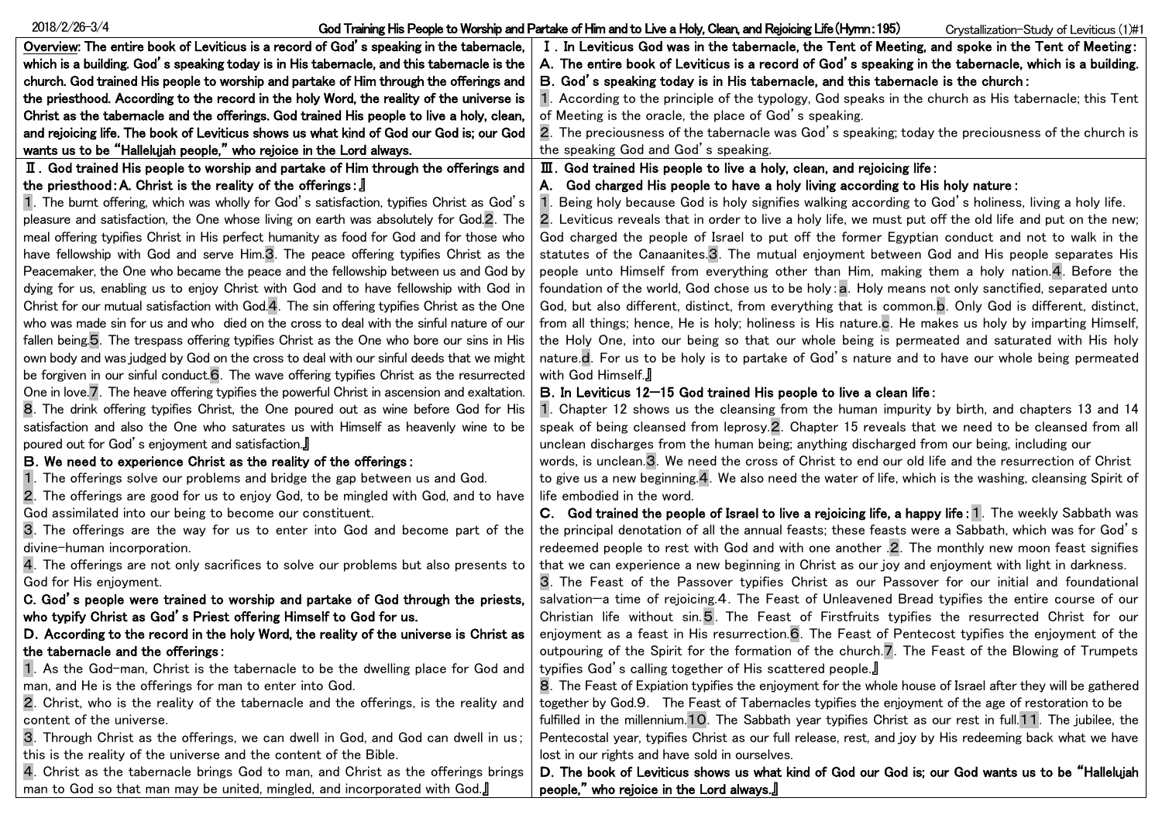| $2018/2/26 - 3/4$                                                                           | God Training His People to Worship and Partake of Him and to Live a Holy, Clean, and Rejoicing Life (Hymn: 195)<br>Crystallization-Study of Leviticus (1)#1 |
|---------------------------------------------------------------------------------------------|-------------------------------------------------------------------------------------------------------------------------------------------------------------|
| Overview: The entire book of Leviticus is a record of God's speaking in the tabemacle,      | I. In Leviticus God was in the tabernacle, the Tent of Meeting, and spoke in the Tent of Meeting:                                                           |
| which is a building. God's speaking today is in His tabernacle, and this tabernacle is the  | A. The entire book of Leviticus is a record of God's speaking in the tabernacle, which is a building.                                                       |
| church. God trained His people to worship and partake of Him through the offerings and      | B. God's speaking today is in His tabernacle, and this tabernacle is the church:                                                                            |
| the priesthood. According to the record in the holy Word, the reality of the universe is    | 1. According to the principle of the typology, God speaks in the church as His tabernacle; this Tent                                                        |
| Christ as the tabernacle and the offerings. God trained His people to live a holy, clean,   | of Meeting is the oracle, the place of God's speaking.                                                                                                      |
| and rejoicing life. The book of Leviticus shows us what kind of God our God is; our God     | 2. The preciousness of the tabernacle was God's speaking; today the preciousness of the church is                                                           |
| wants us to be "Hallelujah people," who rejoice in the Lord always.                         | the speaking God and God's speaking.                                                                                                                        |
| II. God trained His people to worship and partake of Him through the offerings and          | III. God trained His people to live a holy, clean, and rejoicing life:                                                                                      |
| the priesthood: A. Christ is the reality of the offerings: $\mathbb{J}$                     | A. God charged His people to have a holy living according to His holy nature:                                                                               |
| 1. The burnt offering, which was wholly for God's satisfaction, typifies Christ as God's    | Being holy because God is holy signifies walking according to God's holiness, living a holy life.                                                           |
| pleasure and satisfaction, the One whose living on earth was absolutely for God.2. The      | 2. Leviticus reveals that in order to live a holy life, we must put off the old life and put on the new;                                                    |
| meal offering typifies Christ in His perfect humanity as food for God and for those who     | God charged the people of Israel to put off the former Egyptian conduct and not to walk in the                                                              |
| have fellowship with God and serve Him.3. The peace offering typifies Christ as the         | statutes of the Canaanites.3. The mutual enjoyment between God and His people separates His                                                                 |
| Peacemaker, the One who became the peace and the fellowship between us and God by           | people unto Himself from everything other than Him, making them a holy nation. 4. Before the                                                                |
| dying for us, enabling us to enjoy Christ with God and to have fellowship with God in       | foundation of the world, God chose us to be holy: a. Holy means not only sanctified, separated unto                                                         |
| Christ for our mutual satisfaction with God.4. The sin offering typifies Christ as the One  | God, but also different, distinct, from everything that is common.b. Only God is different, distinct,                                                       |
| who was made sin for us and who died on the cross to deal with the sinful nature of our     | from all things; hence, He is holy; holiness is His nature.c. He makes us holy by imparting Himself,                                                        |
| fallen being.5. The trespass offering typifies Christ as the One who bore our sins in His   | the Holy One, into our being so that our whole being is permeated and saturated with His holy                                                               |
| own body and was judged by God on the cross to deal with our sinful deeds that we might     | nature.d. For us to be holy is to partake of God's nature and to have our whole being permeated                                                             |
| be forgiven in our sinful conduct.6. The wave offering typifies Christ as the resurrected   | with God Himself.                                                                                                                                           |
| One in love 7. The heave offering typifies the powerful Christ in ascension and exaltation. | B. In Leviticus 12-15 God trained His people to live a clean life:                                                                                          |
| 8. The drink offering typifies Christ, the One poured out as wine before God for His        | 1. Chapter 12 shows us the cleansing from the human impurity by birth, and chapters 13 and 14                                                               |
| satisfaction and also the One who saturates us with Himself as heavenly wine to be          | speak of being cleansed from leprosy.2. Chapter 15 reveals that we need to be cleansed from all                                                             |
| poured out for God's enjoyment and satisfaction.                                            | unclean discharges from the human being; anything discharged from our being, including our                                                                  |
| B. We need to experience Christ as the reality of the offerings:                            | words, is unclean.3. We need the cross of Christ to end our old life and the resurrection of Christ                                                         |
| The offerings solve our problems and bridge the gap between us and God.                     | to give us a new beginning.4. We also need the water of life, which is the washing, cleansing Spirit of                                                     |
| 2. The offerings are good for us to enjoy God, to be mingled with God, and to have          | life embodied in the word.                                                                                                                                  |
| God assimilated into our being to become our constituent.                                   | C. God trained the people of Israel to live a rejoicing life, a happy life: 1. The weekly Sabbath was                                                       |
| 3. The offerings are the way for us to enter into God and become part of the                | the principal denotation of all the annual feasts; these feasts were a Sabbath, which was for God's                                                         |
| divine-human incorporation.                                                                 | redeemed people to rest with God and with one another .2. The monthly new moon feast signifies                                                              |
| 4. The offerings are not only sacrifices to solve our problems but also presents to         | that we can experience a new beginning in Christ as our joy and enjoyment with light in darkness.                                                           |
| God for His enjoyment.                                                                      | 3. The Feast of the Passover typifies Christ as our Passover for our initial and foundational                                                               |
| C. God's people were trained to worship and partake of God through the priests,             | salvation-a time of rejoicing.4. The Feast of Unleavened Bread typifies the entire course of our                                                            |
| who typify Christ as God's Priest offering Himself to God for us.                           | Christian life without sin.5. The Feast of Firstfruits typifies the resurrected Christ for our                                                              |
| D. According to the record in the holy Word, the reality of the universe is Christ as       | enjoyment as a feast in His resurrection.6. The Feast of Pentecost typifies the enjoyment of the                                                            |
| the tabernacle and the offerings:                                                           | outpouring of the Spirit for the formation of the church.7. The Feast of the Blowing of Trumpets                                                            |
| 1. As the God-man, Christ is the tabernacle to be the dwelling place for God and            | typifies God's calling together of His scattered people.                                                                                                    |
| man, and He is the offerings for man to enter into God.                                     | 8. The Feast of Expiation typifies the enjoyment for the whole house of Israel after they will be gathered                                                  |
| 2. Christ, who is the reality of the tabernacle and the offerings, is the reality and       | together by God.9. The Feast of Tabernacles typifies the enjoyment of the age of restoration to be                                                          |
| content of the universe.                                                                    | fulfilled in the millennium.10. The Sabbath year typifies Christ as our rest in full.11. The jubilee, the                                                   |
| 3. Through Christ as the offerings, we can dwell in God, and God can dwell in us;           | Pentecostal year, typifies Christ as our full release, rest, and joy by His redeeming back what we have                                                     |
| this is the reality of the universe and the content of the Bible.                           | lost in our rights and have sold in ourselves.                                                                                                              |
| 4. Christ as the tabernacle brings God to man, and Christ as the offerings brings           | D. The book of Leviticus shows us what kind of God our God is; our God wants us to be "Hallelujah<br>people," who rejoice in the Lord always.               |
| man to God so that man may be united, mingled, and incorporated with God.]                  |                                                                                                                                                             |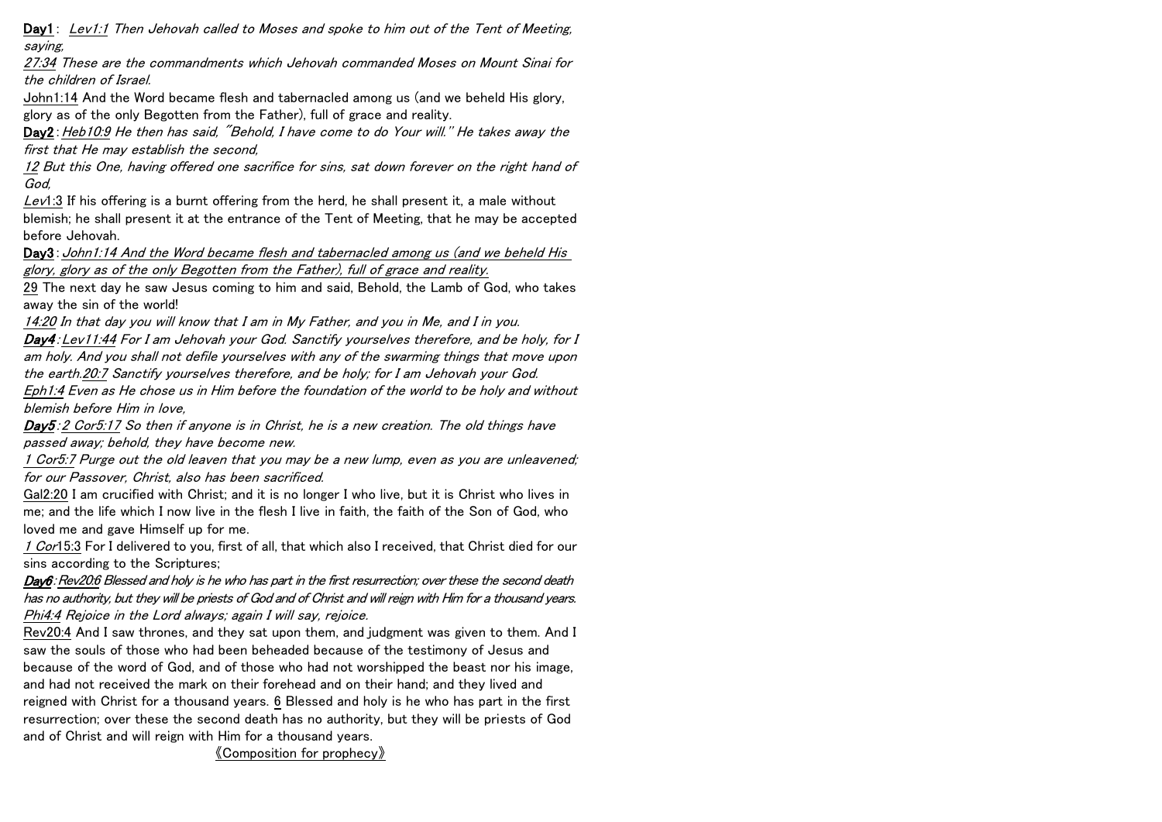Day1: Lev1:1 Then Jehovah called to Moses and spoke to him out of the Tent of Meeting, saying,

27:34 These are the commandments which Jehovah commanded Moses on Mount Sinai for the children of Israel.

John1:14 And the Word became flesh and tabernacled among us (and we beheld His glory, glory as of the only Begotten from the Father), full of grace and reality.

Day2: Heb10:9 He then has said, "Behold, I have come to do Your will." He takes away the first that He may establish the second,

12 But this One, having offered one sacrifice for sins, sat down forever on the right hand of God,

Lev1:3 If his offering is a burnt offering from the herd, he shall present it, a male without blemish; he shall present it at the entrance of the Tent of Meeting, that he may be accepted before Jehovah.

Day3: John1:14 And the Word became flesh and tabernacled among us (and we beheld His glory, glory as of the only Begotten from the Father), full of grace and reality.

29 The next day he saw Jesus coming to him and said, Behold, the Lamb of God, who takes away the sin of the world!

14:20 In that day you will know that I am in My Father, and you in Me, and I in you. Day4:Lev11:44 For I am Jehovah your God. Sanctify yourselves therefore, and be holy, for I am holy. And you shall not defile yourselves with any of the swarming things that move upon the earth.20:7 Sanctify yourselves therefore, and be holy; for I am Jehovah your God. Eph1:4 Even as He chose us in Him before the foundation of the world to be holy and without blemish before Him in love,

Day5:2 Cor5:17 So then if anyone is in Christ, he is a new creation. The old things have passed away; behold, they have become new.

1 Cor5:7 Purge out the old leaven that you may be a new lump, even as you are unleavened; for our Passover, Christ, also has been sacrificed.

Gal2:20 I am crucified with Christ; and it is no longer I who live, but it is Christ who lives in me; and the life which I now live in the flesh I live in faith, the faith of the Son of God, who loved me and gave Himself up for me.

1 Cor15:3 For I delivered to you, first of all, that which also I received, that Christ died for our sins according to the Scriptures;

Day6: Rev20:6 Blessed and holy is he who has part in the first resurrection; over these the second death has no authority, but they will be priests of God and of Christ and will reign with Him for a thousand years. Phi4:4 Rejoice in the Lord always; again I will say, rejoice.

Rev20:4 And I saw thrones, and they sat upon them, and judgment was given to them. And I saw the souls of those who had been beheaded because of the testimony of Jesus and because of the word of God, and of those who had not worshipped the beast nor his image, and had not received the mark on their forehead and on their hand; and they lived and reigned with Christ for a thousand years. 6 Blessed and holy is he who has part in the first resurrection; over these the second death has no authority, but they will be priests of God and of Christ and will reign with Him for a thousand years.

《Composition for prophecy》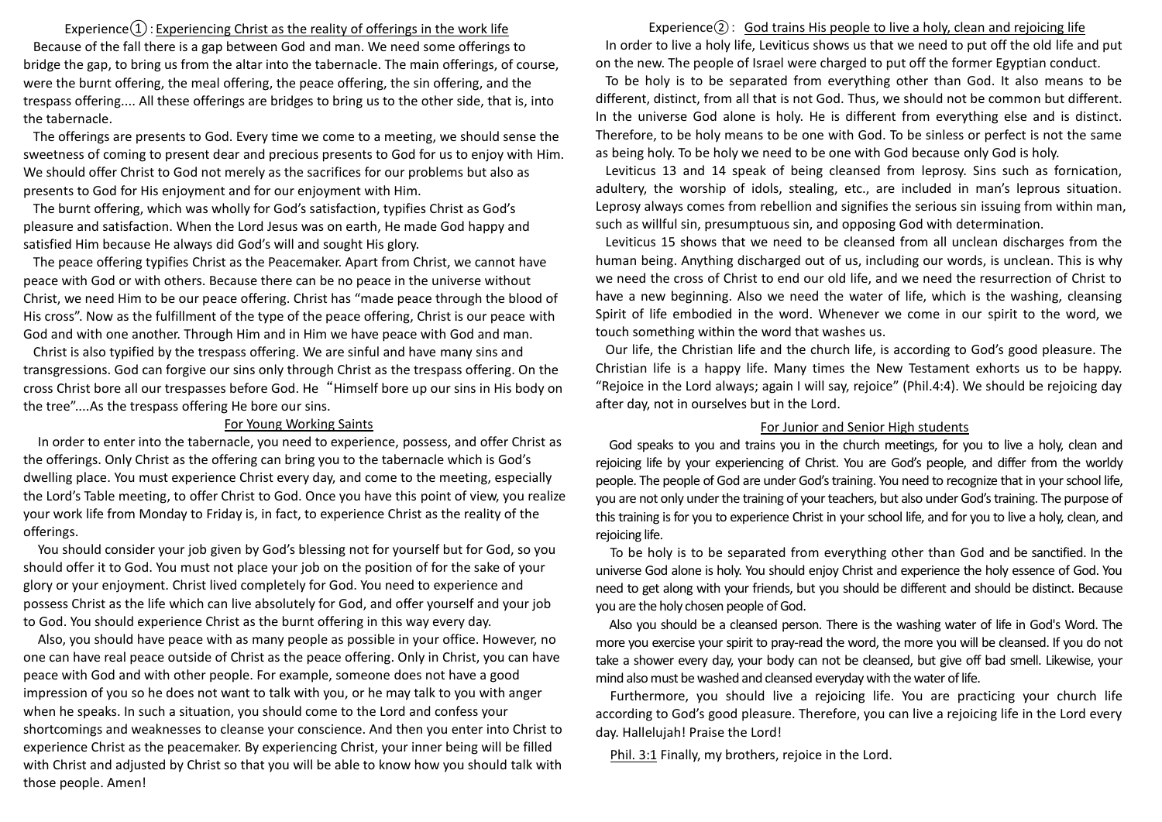Experience $\Omega$ : Experiencing Christ as the reality of offerings in the work life Because of the fall there is a gap between God and man. We need some offerings to bridge the gap, to bring us from the altar into the tabernacle. The main offerings, of course, were the burnt offering, the meal offering, the peace offering, the sin offering, and the trespass offering.... All these offerings are bridges to bring us to the other side, that is, into the tabernacle.

The offerings are presents to God. Every time we come to a meeting, we should sense the sweetness of coming to present dear and precious presents to God for us to enjoy with Him. We should offer Christ to God not merely as the sacrifices for our problems but also as presents to God for His enjoyment and for our enjoyment with Him.

The burnt offering, which was wholly for God's satisfaction, typifies Christ as God's pleasure and satisfaction. When the Lord Jesus was on earth, He made God happy and satisfied Him because He always did God's will and sought His glory.

The peace offering typifies Christ as the Peacemaker. Apart from Christ, we cannot have peace with God or with others. Because there can be no peace in the universe without Christ, we need Him to be our peace offering. Christ has "made peace through the blood of His cross". Now as the fulfillment of the type of the peace offering, Christ is our peace with God and with one another. Through Him and in Him we have peace with God and man.

Christ is also typified by the trespass offering. We are sinful and have many sins and transgressions. God can forgive our sins only through Christ as the trespass offering. On the cross Christ bore all our trespasses before God. He "Himself bore up our sins in His body on the tree"....As the trespass offering He bore our sins.

## For Young Working Saints

In order to enter into the tabernacle, you need to experience, possess, and offer Christ as the offerings. Only Christ as the offering can bring you to the tabernacle which is God's dwelling place. You must experience Christ every day, and come to the meeting, especially the Lord's Table meeting, to offer Christ to God. Once you have this point of view, you realize your work life from Monday to Friday is, in fact, to experience Christ as the reality of the offerings.

You should consider your job given by God's blessing not for yourself but for God, so you should offer it to God. You must not place your job on the position of for the sake of your glory or your enjoyment. Christ lived completely for God. You need to experience and possess Christ as the life which can live absolutely for God, and offer yourself and your job to God. You should experience Christ as the burnt offering in this way every day.

Also, you should have peace with as many people as possible in your office. However, no one can have real peace outside of Christ as the peace offering. Only in Christ, you can have peace with God and with other people. For example, someone does not have a good impression of you so he does not want to talk with you, or he may talk to you with anger when he speaks. In such a situation, you should come to the Lord and confess your shortcomings and weaknesses to cleanse your conscience. And then you enter into Christ to experience Christ as the peacemaker. By experiencing Christ, your inner being will be filled with Christ and adjusted by Christ so that you will be able to know how you should talk with those people. Amen!

Experience $(2)$ : God trains His people to live a holy, clean and rejoicing life In order to live a holy life, Leviticus shows us that we need to put off the old life and put on the new. The people of Israel were charged to put off the former Egyptian conduct.

To be holy is to be separated from everything other than God. It also means to be different, distinct, from all that is not God. Thus, we should not be common but different. In the universe God alone is holy. He is different from everything else and is distinct. Therefore, to be holy means to be one with God. To be sinless or perfect is not the same as being holy. To be holy we need to be one with God because only God is holy.

Leviticus 13 and 14 speak of being cleansed from leprosy. Sins such as fornication, adultery, the worship of idols, stealing, etc., are included in man's leprous situation. Leprosy always comes from rebellion and signifies the serious sin issuing from within man, such as willful sin, presumptuous sin, and opposing God with determination.

Leviticus 15 shows that we need to be cleansed from all unclean discharges from the human being. Anything discharged out of us, including our words, is unclean. This is why we need the cross of Christ to end our old life, and we need the resurrection of Christ to have a new beginning. Also we need the water of life, which is the washing, cleansing Spirit of life embodied in the word. Whenever we come in our spirit to the word, we touch something within the word that washes us.

Our life, the Christian life and the church life, is according to God's good pleasure. The Christian life is a happy life. Many times the New Testament exhorts us to be happy. "Rejoice in the Lord always; again I will say, rejoice" (Phil.4:4). We should be rejoicing day after day, not in ourselves but in the Lord.

## For Junior and Senior High students

God speaks to you and trains you in the church meetings, for you to live a holy, clean and rejoicing life by your experiencing of Christ. You are God's people, and differ from the worldy people. The people of God are under God's training. You need to recognize that in your school life, you are not only under the training of your teachers, but also under God's training. The purpose of this training is for you to experience Christ in your school life, and for you to live a holy, clean, and rejoicing life.

To be holy is to be separated from everything other than God and be sanctified. In the universe God alone is holy. You should enjoy Christ and experience the holy essence of God. You need to get along with your friends, but you should be different and should be distinct. Because you are the holy chosen people of God.

Also you should be a cleansed person. There is the washing water of life in God's Word. The more you exercise your spirit to pray-read the word, the more you will be cleansed. If you do not take a shower every day, your body can not be cleansed, but give off bad smell. Likewise, your mind also must be washed and cleansed everyday with the water of life.

Furthermore, you should live a rejoicing life. You are practicing your church life according to God's good pleasure. Therefore, you can live a rejoicing life in the Lord every day. Hallelujah! Praise the Lord!

Phil. 3:1 Finally, my brothers, rejoice in the Lord.